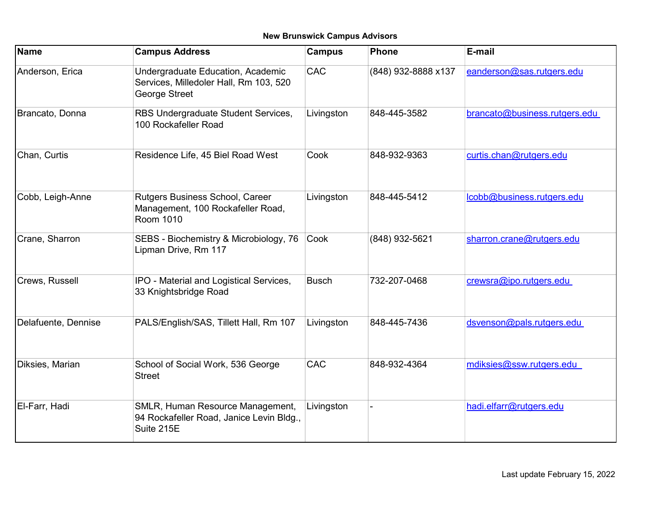## New Brunswick Campus Advisors

| Name                | <b>Campus Address</b>                                                                        | <b>Campus</b> | <b>Phone</b>        | E-mail                        |
|---------------------|----------------------------------------------------------------------------------------------|---------------|---------------------|-------------------------------|
| Anderson, Erica     | Undergraduate Education, Academic<br>Services, Milledoler Hall, Rm 103, 520<br>George Street | <b>CAC</b>    | (848) 932-8888 x137 | eanderson@sas.rutgers.edu     |
| Brancato, Donna     | RBS Undergraduate Student Services,<br>100 Rockafeller Road                                  | Livingston    | 848-445-3582        | brancato@business.rutgers.edu |
| Chan, Curtis        | Residence Life, 45 Biel Road West                                                            | Cook          | 848-932-9363        | curtis.chan@rutgers.edu       |
| Cobb, Leigh-Anne    | Rutgers Business School, Career<br>Management, 100 Rockafeller Road,<br>Room 1010            | Livingston    | 848-445-5412        | lcobb@business.rutgers.edu    |
| Crane, Sharron      | SEBS - Biochemistry & Microbiology, 76<br>Lipman Drive, Rm 117                               | Cook          | (848) 932-5621      | sharron.crane@rutgers.edu     |
| Crews, Russell      | IPO - Material and Logistical Services,<br>33 Knightsbridge Road                             | <b>Busch</b>  | 732-207-0468        | crewsra@ipo.rutgers.edu       |
| Delafuente, Dennise | PALS/English/SAS, Tillett Hall, Rm 107                                                       | Livingston    | 848-445-7436        | dsvenson@pals.rutgers.edu     |
| Diksies, Marian     | School of Social Work, 536 George<br><b>Street</b>                                           | CAC           | 848-932-4364        | mdiksies@ssw.rutgers.edu      |
| El-Farr, Hadi       | SMLR, Human Resource Management,<br>94 Rockafeller Road, Janice Levin Bldg.,<br>Suite 215E   | Livingston    |                     | hadi.elfarr@rutgers.edu       |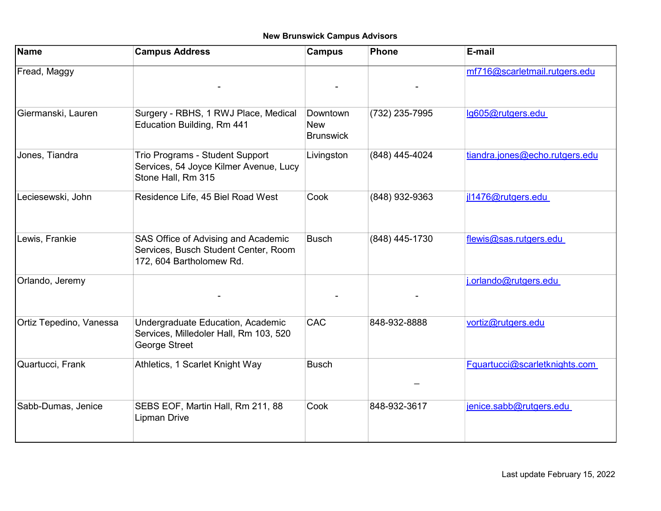## New Brunswick Campus Advisors

| <b>Name</b>             | <b>Campus Address</b>                                                                                   | <b>Campus</b>                              | <b>Phone</b>   | E-mail                         |
|-------------------------|---------------------------------------------------------------------------------------------------------|--------------------------------------------|----------------|--------------------------------|
| Fread, Maggy            |                                                                                                         |                                            |                | mf716@scarletmail.rutgers.edu  |
| Giermanski, Lauren      | Surgery - RBHS, 1 RWJ Place, Medical<br>Education Building, Rm 441                                      | Downtown<br><b>New</b><br><b>Brunswick</b> | (732) 235-7995 | lg605@rutgers.edu              |
| Jones, Tiandra          | Trio Programs - Student Support<br>Services, 54 Joyce Kilmer Avenue, Lucy<br>Stone Hall, Rm 315         | Livingston                                 | (848) 445-4024 | tiandra.jones@echo.rutgers.edu |
| Leciesewski, John       | Residence Life, 45 Biel Road West                                                                       | Cook                                       | (848) 932-9363 | jl1476@rutgers.edu             |
| Lewis, Frankie          | SAS Office of Advising and Academic<br>Services, Busch Student Center, Room<br>172, 604 Bartholomew Rd. | <b>Busch</b>                               | (848) 445-1730 | flewis@sas.rutgers.edu         |
| Orlando, Jeremy         |                                                                                                         |                                            |                | j.orlando@rutgers.edu          |
| Ortiz Tepedino, Vanessa | Undergraduate Education, Academic<br>Services, Milledoler Hall, Rm 103, 520<br>George Street            | <b>CAC</b>                                 | 848-932-8888   | vortiz@rutgers.edu             |
| Quartucci, Frank        | Athletics, 1 Scarlet Knight Way                                                                         | <b>Busch</b>                               |                | Fquartucci@scarletknights.com  |
| Sabb-Dumas, Jenice      | SEBS EOF, Martin Hall, Rm 211, 88<br><b>Lipman Drive</b>                                                | Cook                                       | 848-932-3617   | jenice.sabb@rutgers.edu        |